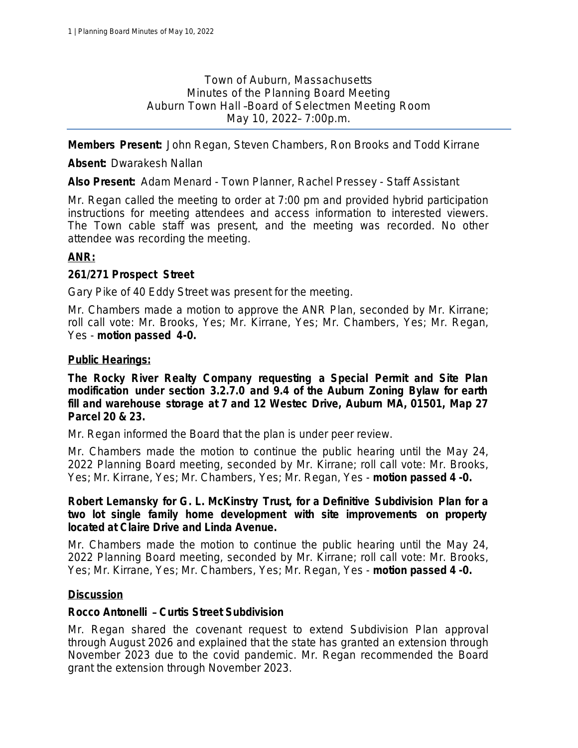Town of Auburn, Massachusetts Minutes of the Planning Board Meeting Auburn Town Hall –Board of Selectmen Meeting Room May 10, 2022– 7:00p.m.

**Members Present:** John Regan, Steven Chambers, Ron Brooks and Todd Kirrane

**Absent:** Dwarakesh Nallan

**Also Present:** Adam Menard - Town Planner, Rachel Pressey - Staff Assistant

Mr. Regan called the meeting to order at 7:00 pm and provided hybrid participation instructions for meeting attendees and access information to interested viewers. The Town cable staff was present, and the meeting was recorded. No other attendee was recording the meeting.

## **ANR:**

## **261/271 Prospect Street**

Gary Pike of 40 Eddy Street was present for the meeting.

Mr. Chambers made a motion to approve the ANR Plan, seconded by Mr. Kirrane; *roll call vote: Mr. Brooks, Yes; Mr. Kirrane, Yes; Mr. Chambers, Yes; Mr. Regan, Yes* - *motion passed 4-0.*

### **Public Hearings:**

**The Rocky River Realty Company requesting a Special Permit and Site Plan modification under section 3.2.7.0 and 9.4 of the Auburn Zoning Bylaw for earth fill and warehouse storage at 7 and 12 Westec Drive, Auburn MA, 01501, Map 27 Parcel 20 & 23.**

Mr. Regan informed the Board that the plan is under peer review.

Mr. Chambers made the motion to continue the public hearing until the May 24, 2022 Planning Board meeting, seconded by Mr. Kirrane; *roll call vote: Mr. Brooks, Yes; Mr. Kirrane, Yes; Mr. Chambers, Yes; Mr. Regan, Yes* - *motion passed 4 -0.*

**Robert Lemansky for G. L. McKinstry Trust, for a Definitive Subdivision Plan for a two lot single family home development with site improvements on property located at Claire Drive and Linda Avenue.**

Mr. Chambers made the motion to continue the public hearing until the May 24, 2022 Planning Board meeting, seconded by Mr. Kirrane; *roll call vote: Mr. Brooks, Yes; Mr. Kirrane, Yes; Mr. Chambers, Yes; Mr. Regan, Yes* - *motion passed 4 -0.*

### **Discussion**

### **Rocco Antonelli** – **Curtis Street Subdivision**

Mr. Regan shared the covenant request to extend Subdivision Plan approval through August 2026 and explained that the state has granted an extension through November 2023 due to the covid pandemic. Mr. Regan recommended the Board grant the extension through November 2023.